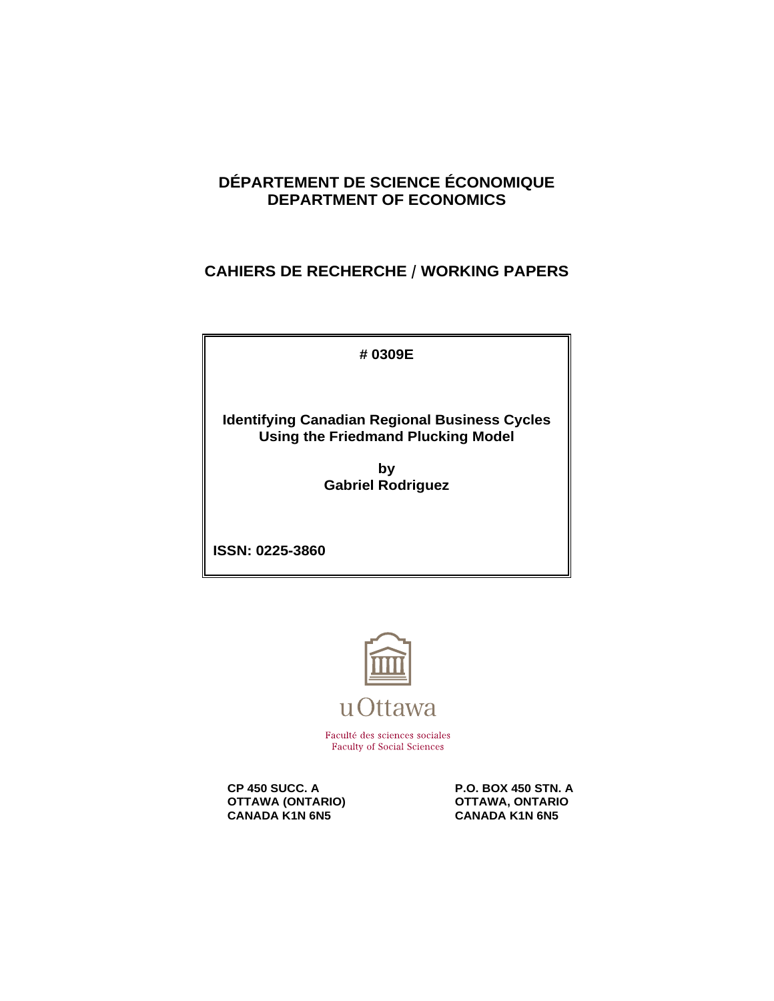# **DÉPARTEMENT DE SCIENCE ÉCONOMIQUE DEPARTMENT OF ECONOMICS**

# **CAHIERS DE RECHERCHE / WORKING PAPERS**

**# 0309E**

**Identifying Canadian Regional Business Cycles Using the Friedmand Plucking Model**

> **by Gabriel Rodriguez**

**ISSN: 0225-3860**



Faculté des sciences sociales **Faculty of Social Sciences** 

**OTTAWA (ONTARIO) CANADA KANA CANADA KANA GANADA KANA GANADA KANA GANADA KANA GANADA KANA GANADA KANA GANADA KANA GANADA KANA GANADA KANA GANADA KANA GANADA KANA GANADA KANA GANADA KANA GANADA KANA GANADA KANA GANADA KANA CANADA K1N 6N5** 

**CP 450 SUCC. A** P.O. BOX 450 STN. A<br> **OTTAWA (ONTARIO)** OTTAWA, ONTARIO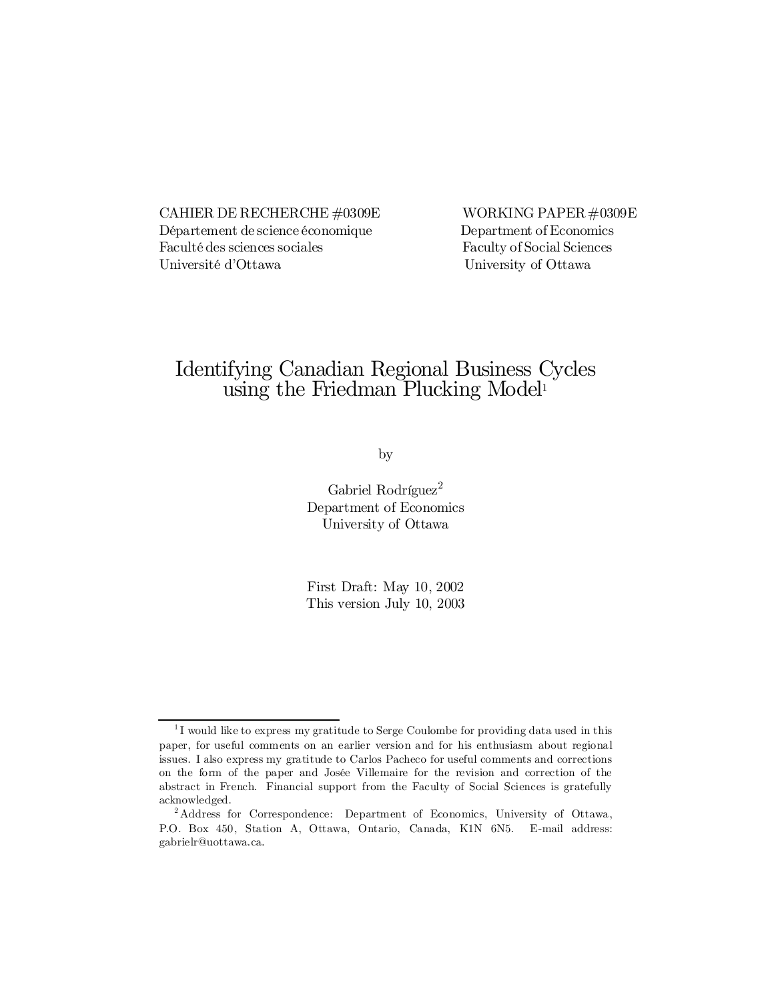CAHIER DE RECHERCHE  $\#0309E$  WORKING PAPER  $\#0309E$ Département de science économique Department of Economics Faculté des sciences sociales Faculty of Social Sciences Université d'Ottawa University of Ottawa

# Identifying Canadian Regional Business Cycles using the Friedman Plucking Model 1

by

Gabriel Rodríguez<sup>2</sup> Department of Economics University of Ottawa

First Draft: May 10, 2002 This version July 10, 2003

<sup>&</sup>lt;sup>1</sup>I would like to express my gratitude to Serge Coulombe for providing data used in this paper, for useful comments on an earlier version and for his enthusiasm about regional issues. I also express my gratitude to Carlos Pacheco for useful comments and corrections on the form of the paper and Josée Villemaire for the revision and correction of the abstract in French. Financial support from the Faculty of Social Sciences is gratefully acknowledged.

<sup>2</sup> Address for Correspondence: Department of Economics, University of Ottawa, P.O. Box 450, Station A, Ottawa, Ontario, Canada, K1N 6N5. E-mail address: gabrielr@uottawa.ca.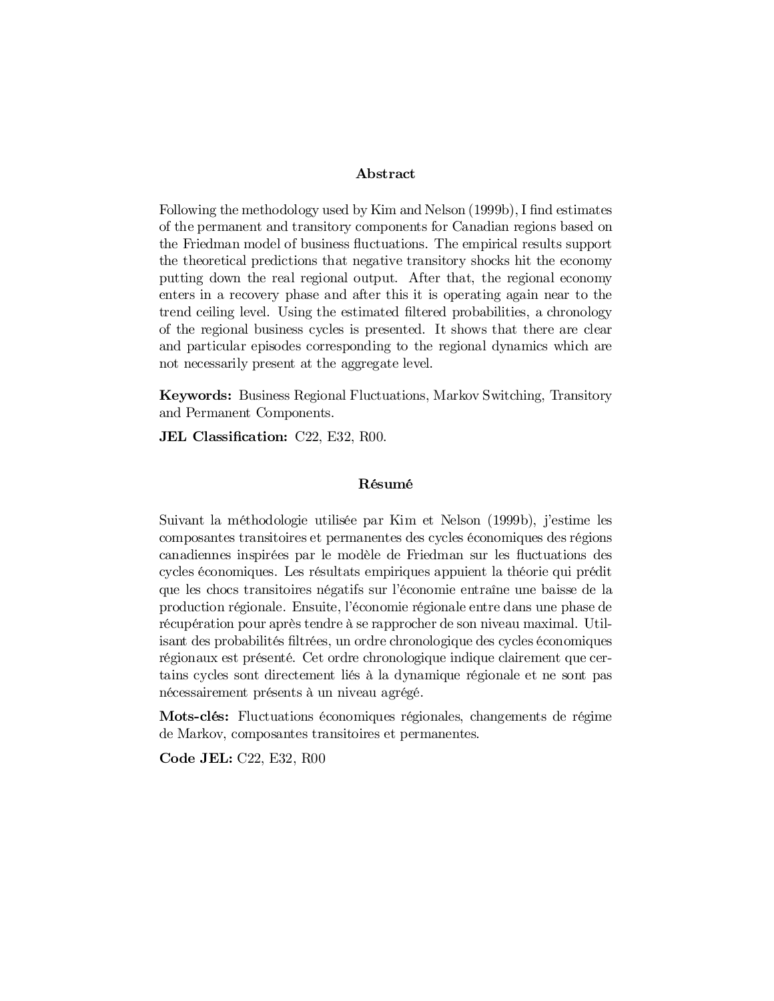#### Abstract

Following the methodology used by Kim and Nelson  $(1999b)$ , I find estimates of the permanent and transitory components for Canadian regions based on the Friedman model of business fluctuations. The empirical results support the theoretical predictions that negative transitory shocks hit the economy putting down the real regional output. After that, the regional economy enters in a recovery phase and after this it is operating again near to the trend ceiling level. Using the estimated filtered probabilities, a chronology of the regional business cycles is presented. It shows that there are clear and particular episodes corresponding to the regional dynamics which are not necessarily present at the aggregate level.

Keywords: Business Regional Fluctuations, Markov Switching, Transitory and Permanent Components.

JEL Classification: C22, E32, R00.

#### Résumé

Suivant la méthodologie utilisée par Kim et Nelson (1999b), j'estime les composantes transitoires et permanentes des cycles économiques des régions canadiennes inspirées par le modèle de Friedman sur les fluctuations des cycles économiques. Les résultats empiriques appuient la théorie qui prédit que les chocs transitoires négatifs sur l'économie entraîne une baisse de la production régionale. Ensuite, l'économie régionale entre dans une phase de récupération pour après tendre à se rapprocher de son niveau maximal. Utilisant des probabilités filtrées, un ordre chronologique des cycles économiques régionaux est présenté. Cet ordre chronologique indique clairement que certains cycles sont directement liés à la dynamique régionale et ne sont pas nécessairement présents à un niveau agrégé.

Mots-clés: Fluctuations économiques régionales, changements de régime de Markov, composantes transitoires et permanentes.

Code JEL: C22, E32, R00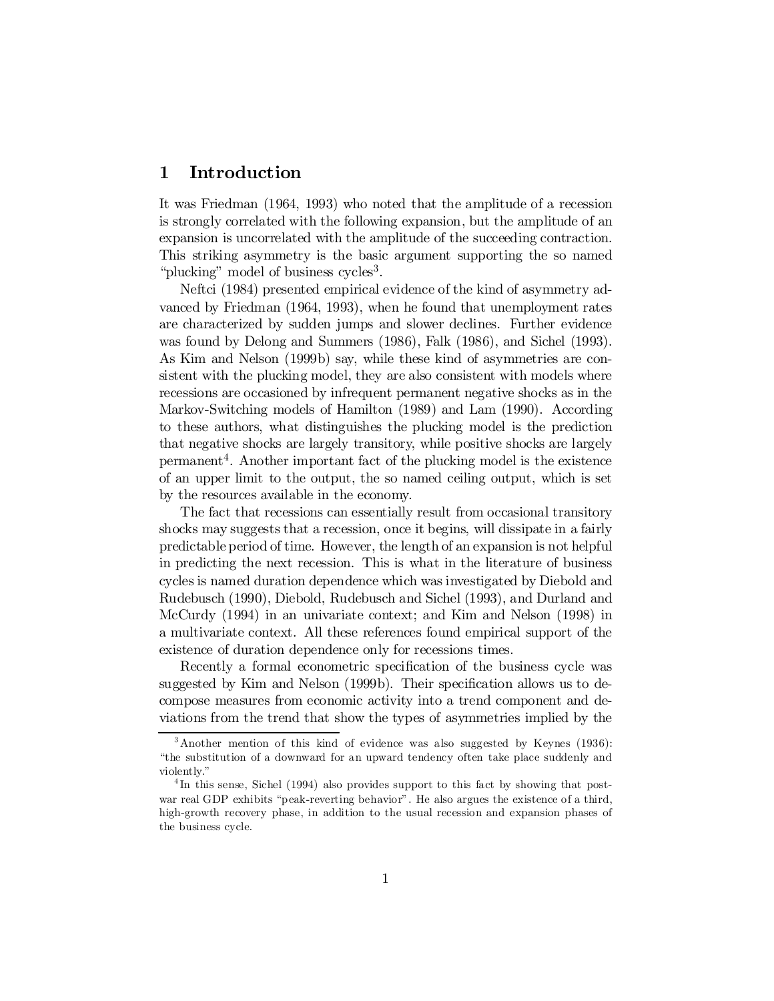## 1 Introduction

It was Friedman (1964, 1993) who noted that the amplitude of a recession is strongly correlated with the following expansion, but the amplitude of an expansion is uncorrelated with the amplitude of the succeeding contraction. This striking asymmetry is the basic argument supporting the so named "plucking" model of business cycles<sup>3</sup>.

Neftci (1984) presented empirical evidence of the kind of asymmetry advanced by Friedman (1964, 1993), when he found that unemployment rates are characterized by sudden jumps and slower declines. Further evidence was found by Delong and Summers (1986), Falk (1986), and Sichel (1993). As Kim and Nelson (1999b) say, while these kind of asymmetries are consistent with the plucking model, they are also consistent with models where recessions are occasioned by infrequent permanent negative shocks as in the Markov-Switching models of Hamilton (1989) and Lam (1990). According to these authors, what distinguishes the plucking model is the prediction that negative shocks are largely transitory, while positive shocks are largely permanent 4 . Another important fact of the plucking model is the existence of an upper limit to the output, the so named ceiling output, which is set by the resources available in the economy.

The fact that recessions can essentially result from occasional transitory shocks may suggests that a recession, once it begins, will dissipate in a fairly predictable period of time. However, the length of an expansion is not helpful in predicting the next recession. This is what in the literature of business cycles is named duration dependence which was investigated by Diebold and Rudebusch (1990), Diebold, Rudebusch and Sichel (1993), and Durland and McCurdy (1994) in an univariate context; and Kim and Nelson (1998) in a multivariate context. All these references found empirical support of the existence of duration dependence only for recessions times.

Recently a formal econometric specification of the business cycle was suggested by Kim and Nelson  $(1999b)$ . Their specification allows us to decompose measures from economic activity into a trend component and deviations from the trend that show the types of asymmetries implied by the

<sup>3</sup> Another mention of this kind of evidence was also suggested by Keynes (1936): "the substitution of a downward for an upward tendency often take place suddenly and violently."

<sup>&</sup>lt;sup>4</sup>In this sense, Sichel (1994) also provides support to this fact by showing that postwar real GDP exhibits "peak-reverting behavior". He also argues the existence of a third, high-growth recovery phase, in addition to the usual recession and expansion phases of the business cycle.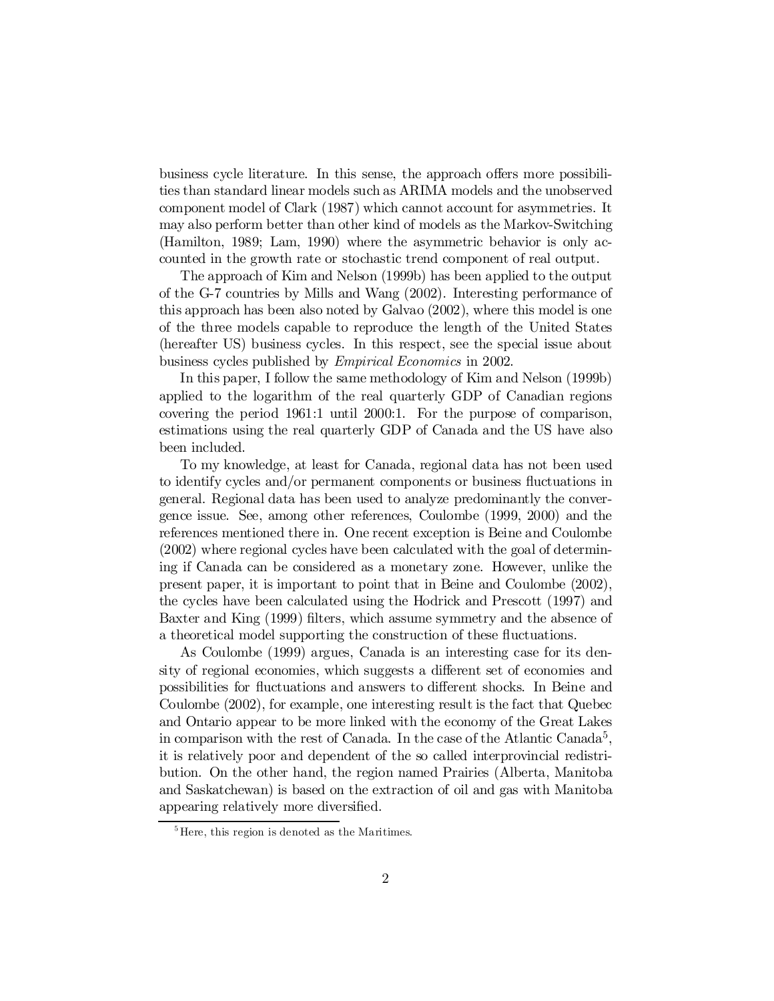business cycle literature. In this sense, the approach offers more possibilities than standard linear models such as ARIMA models and the unobserved component model of Clark (1987) which cannot account for asymmetries. It may also perform better than other kind of models as the Markov-Switching (Hamilton, 1989; Lam, 1990) where the asymmetric behavior is only accounted in the growth rate or stochastic trend component of real output.

The approach of Kim and Nelson (1999b) has been applied to the output of the G-7 countries by Mills and Wang (2002). Interesting performance of this approach has been also noted by Galvao (2002), where this model is one of the three models capable to reproduce the length of the United States (hereafter US) business cycles. In this respect, see the special issue about business cycles published by Empirical Economics in 2002.

In this paper, I follow the same methodology of Kim and Nelson (1999b) applied to the logarithm of the real quarterly GDP of Canadian regions covering the period 1961:1 until 2000:1. For the purpose of comparison, estimations using the real quarterly GDP of Canada and the US have also been included.

To my knowledge, at least for Canada, regional data has not been used to identify cycles and/or permanent components or business fluctuations in general. Regional data has been used to analyze predominantly the convergence issue. See, among other references, Coulombe (1999, 2000) and the references mentioned there in. One recent exception is Beine and Coulombe (2002) where regional cycles have been calculated with the goal of determining if Canada can be considered as a monetary zone. However, unlike the present paper, it is important to point that in Beine and Coulombe (2002), the cycles have been calculated using the Hodrick and Prescott (1997) and Baxter and King (1999) filters, which assume symmetry and the absence of a theoretical model supporting the construction of these fluctuations.

As Coulombe (1999) argues, Canada is an interesting case for its density of regional economies, which suggests a different set of economies and possibilities for fluctuations and answers to different shocks. In Beine and Coulombe (2002), for example, one interesting result is the fact that Quebec and Ontario appear to be more linked with the economy of the Great Lakes in comparison with the rest of Canada. In the case of the Atlantic Canada<sup>5</sup>, it is relatively poor and dependent of the so called interprovincial redistribution. On the other hand, the region named Prairies (Alberta, Manitoba and Saskatchewan) is based on the extraction of oil and gas with Manitoba appearing relatively more diversified.

<sup>&</sup>lt;sup>5</sup>Here, this region is denoted as the Maritimes.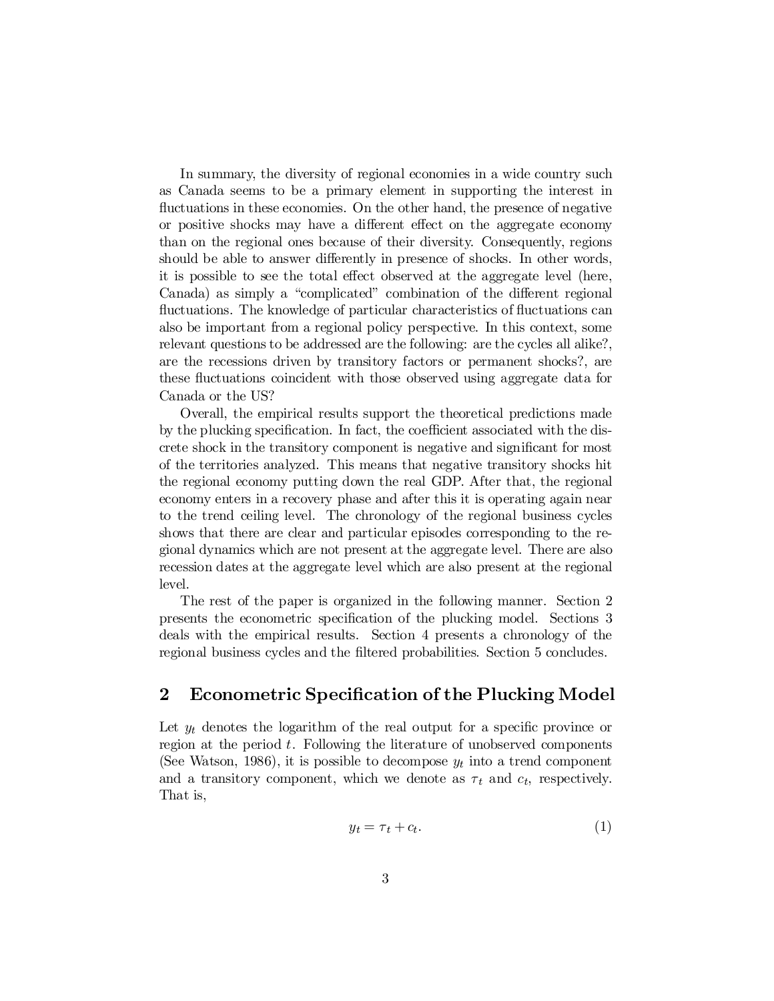In summary, the diversity of regional economies in a wide country such as Canada seems to be a primary element in supporting the interest in fluctuations in these economies. On the other hand, the presence of negative or positive shocks may have a different effect on the aggregate economy than on the regional ones because of their diversity. Consequently, regions should be able to answer differently in presence of shocks. In other words, it is possible to see the total effect observed at the aggregate level (here, Canada) as simply a "complicated" combination of the different regional fluctuations. The knowledge of particular characteristics of fluctuations can also be important from a regional policy perspective. In this context, some relevant questions to be addressed are the following: are the cycles all alike?, are the recessions driven by transitory factors or permanent shocks?, are these fluctuations coincident with those observed using aggregate data for Canada or the US?

Overall, the empirical results support the theoretical predictions made by the plucking specification. In fact, the coefficient associated with the discrete shock in the transitory component is negative and significant for most of the territories analyzed. This means that negative transitory shocks hit the regional economy putting down the real GDP. After that, the regional economy enters in a recovery phase and after this it is operating again near to the trend ceiling level. The chronology of the regional business cycles shows that there are clear and particular episodes corresponding to the regional dynamics which are not present at the aggregate level. There are also recession dates at the aggregate level which are also present at the regional level.

The rest of the paper is organized in the following manner. Section 2 presents the econometric specification of the plucking model. Sections 3 deals with the empirical results. Section 4 presents a chronology of the regional business cycles and the filtered probabilities. Section 5 concludes.

#### 2 Econometric Specification of the Plucking Model

Let  $y_t$  denotes the logarithm of the real output for a specific province or region at the period  $t$ . Following the literature of unobserved components (See Watson, 1986), it is possible to decompose  $y_t$  into a trend component and a transitory component, which we denote as  $\tau_t$  and  $c_t$ , respectively. That is,

$$
y_t = \tau_t + c_t. \tag{1}
$$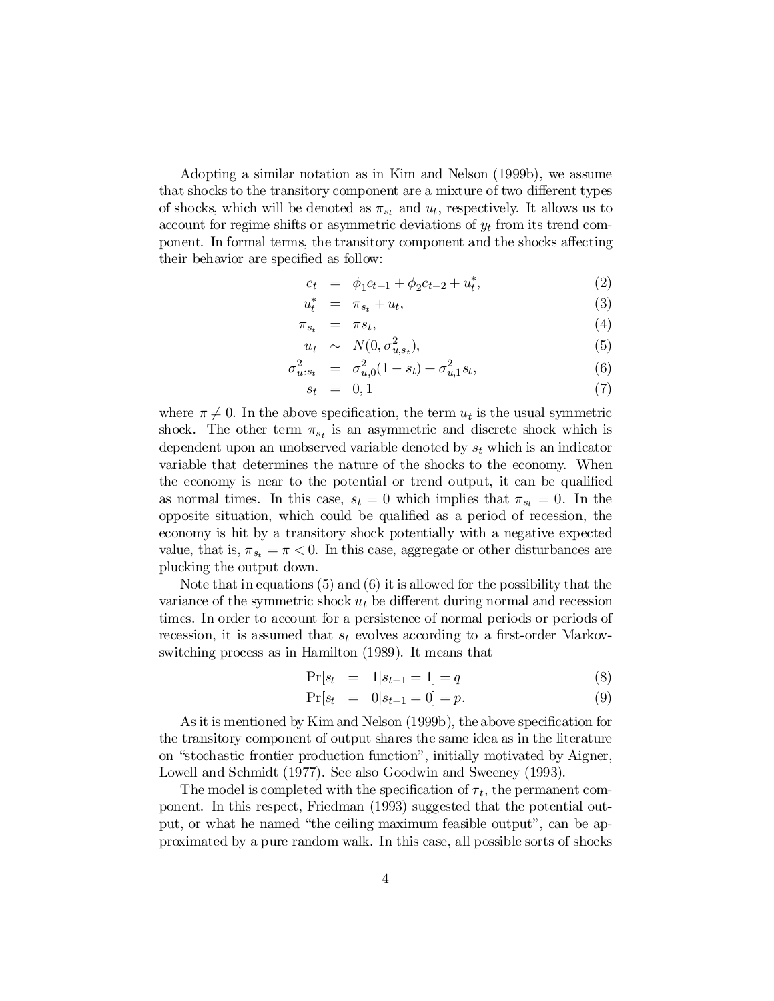Adopting a similar notation as in Kim and Nelson (1999b), we assume that shocks to the transitory component are a mixture of two different types of shocks, which will be denoted as  $\pi_{s_t}$  and  $u_t$ , respectively. It allows us to account for regime shifts or asymmetric deviations of  $y_t$  from its trend component. In formal terms, the transitory component and the shocks affecting their behavior are specified as follow:

$$
c_t = \phi_1 c_{t-1} + \phi_2 c_{t-2} + u_t^*, \tag{2}
$$

$$
u_t^* = \pi_{s_t} + u_t, \tag{3}
$$

$$
\pi_{s_t} = \pi s_t, \tag{4}
$$

$$
u_t \sim N(0, \sigma_{u, s_t}^2), \tag{5}
$$

$$
\sigma_{u,s_t}^2 = \sigma_{u,0}^2 (1 - s_t) + \sigma_{u,1}^2 s_t, \tag{6}
$$

$$
s_t = 0, 1 \tag{7}
$$

where  $\pi \neq 0$ . In the above specification, the term  $u_t$  is the usual symmetric shock. The other term  $\pi_{s_t}$  is an asymmetric and discrete shock which is dependent upon an unobserved variable denoted by  $s_t$  which is an indicator variable that determines the nature of the shocks to the economy. When the economy is near to the potential or trend output, it can be qualified as normal times. In this case,  $s_t = 0$  which implies that  $\pi_{s_t} = 0$ . In the opposite situation, which could be qualified as a period of recession, the economy is hit by a transitory shock potentially with a negative expected value, that is,  $\pi_{s_t} = \pi < 0$ . In this case, aggregate or other disturbances are plucking the output down.

Note that in equations (5) and (6) it is allowed for the possibility that the variance of the symmetric shock  $u_t$  be different during normal and recession times. In order to account for a persistence of normal periods or periods of recession, it is assumed that  $s_t$  evolves according to a first-order Markovswitching process as in Hamilton (1989). It means that

$$
\Pr[s_t = 1 | s_{t-1} = 1] = q \tag{8}
$$

$$
\Pr[s_t = 0 | s_{t-1} = 0] = p. \tag{9}
$$

As it is mentioned by Kim and Nelson  $(1999b)$ , the above specification for the transitory component of output shares the same idea as in the literature on "stochastic frontier production function", initially motivated by Aigner, Lowell and Schmidt (1977). See also Goodwin and Sweeney (1993).

The model is completed with the specification of  $\tau_t$ , the permanent component. In this respect, Friedman (1993) suggested that the potential output, or what he named "the ceiling maximum feasible output", can be approximated by a pure random walk. In this case, all possible sorts of shocks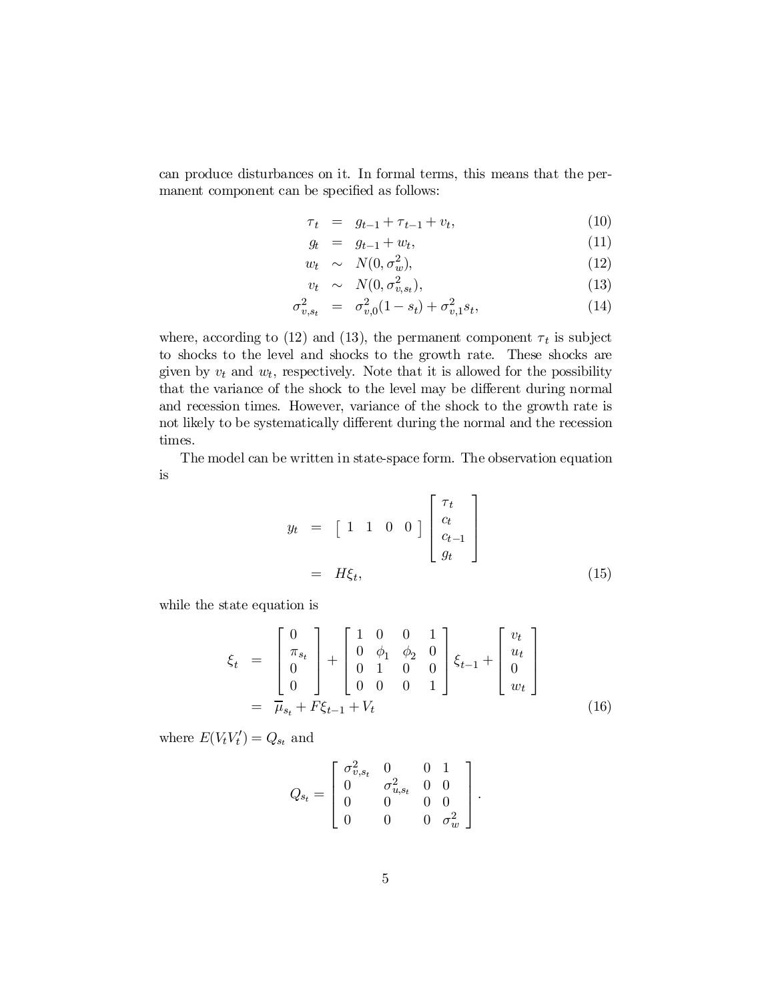can produce disturbances on it. In formal terms, this means that the permanent component can be specified as follows:

$$
\tau_t = g_{t-1} + \tau_{t-1} + v_t, \tag{10}
$$

$$
g_t = g_{t-1} + w_t, \t\t(11)
$$

$$
w_t \sim N(0, \sigma_w^2), \tag{12}
$$

$$
v_t \sim N(0, \sigma_{v, st}^2), \tag{13}
$$

$$
\sigma_{v,s_t}^2 = \sigma_{v,0}^2 (1 - s_t) + \sigma_{v,1}^2 s_t, \tag{14}
$$

where, according to (12) and (13), the permanent component  $\tau_t$  is subject to shocks to the level and shocks to the growth rate. These shocks are given by  $v_t$  and  $w_t$ , respectively. Note that it is allowed for the possibility that the variance of the shock to the level may be different during normal and recession times. However, variance of the shock to the growth rate is not likely to be systematically different during the normal and the recession times.

The model can be written in state-space form. The observation equation is

$$
y_t = \begin{bmatrix} 1 & 1 & 0 & 0 \end{bmatrix} \begin{bmatrix} \tau_t \\ c_t \\ c_{t-1} \\ g_t \end{bmatrix}
$$

$$
= H\xi_t, \qquad (15)
$$

while the state equation is

$$
\xi_t = \begin{bmatrix} 0 \\ \pi_{s_t} \\ 0 \\ 0 \end{bmatrix} + \begin{bmatrix} 1 & 0 & 0 & 1 \\ 0 & \phi_1 & \phi_2 & 0 \\ 0 & 1 & 0 & 0 \\ 0 & 0 & 0 & 1 \end{bmatrix} \xi_{t-1} + \begin{bmatrix} v_t \\ u_t \\ 0 \\ w_t \end{bmatrix}
$$

$$
= \overline{\mu}_{s_t} + F \xi_{t-1} + V_t
$$
(16)

where  $E(V_t V_t') = Q_{s_t}$  and

$$
Q_{s_t} = \begin{bmatrix} \sigma_{v,s_t}^2 & 0 & 0 & 1 \\ 0 & \sigma_{u,s_t}^2 & 0 & 0 \\ 0 & 0 & 0 & 0 \\ 0 & 0 & 0 & \sigma_w^2 \end{bmatrix}.
$$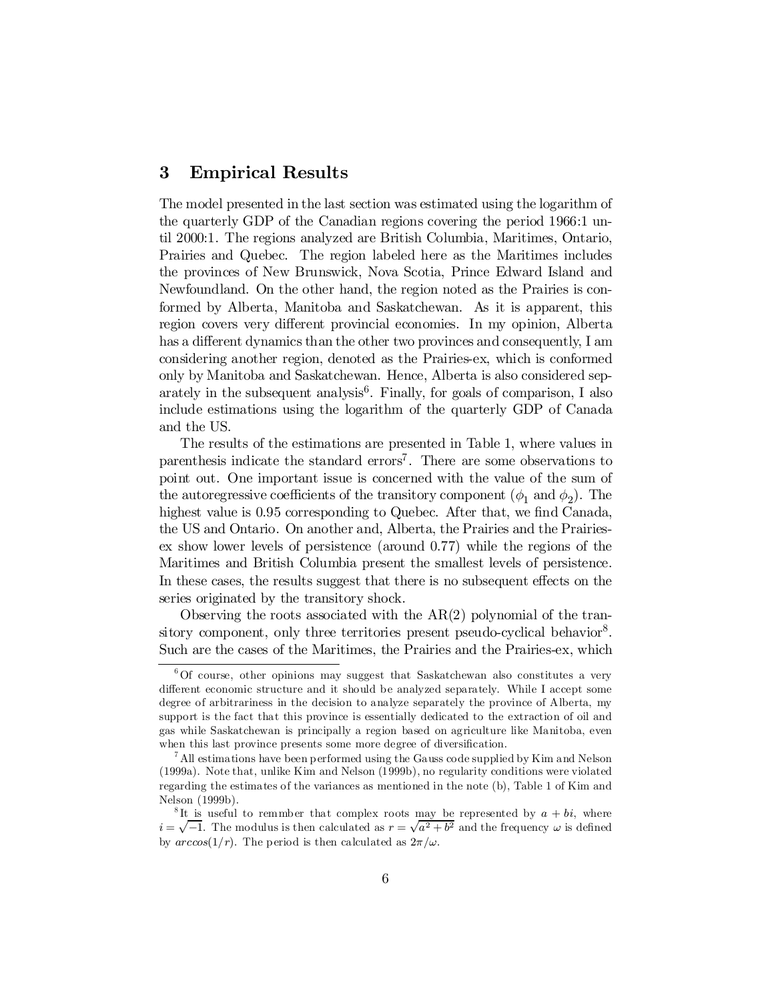### 3 Empirical Results

The model presented in the last section was estimated using the logarithm of the quarterly GDP of the Canadian regions covering the period 1966:1 until 2000:1. The regions analyzed are British Columbia, Maritimes, Ontario, Prairies and Quebec. The region labeled here as the Maritimes includes the provinces of New Brunswick, Nova Scotia, Prince Edward Island and Newfoundland. On the other hand, the region noted as the Prairies is conformed by Alberta, Manitoba and Saskatchewan. As it is apparent, this region covers very different provincial economies. In my opinion, Alberta has a different dynamics than the other two provinces and consequently, I am considering another region, denoted as the Prairies-ex, which is conformed only by Manitoba and Saskatchewan. Hence, Alberta is also considered separately in the subsequent analysis 6 . Finally, for goals of comparison, I also include estimations using the logarithm of the quarterly GDP of Canada and the US.

The results of the estimations are presented in Table 1, where values in parenthesis indicate the standard errors 7 . There are some observations to point out. One important issue is concerned with the value of the sum of the autoregressive coefficients of the transitory component  $(\phi_1 \text{ and } \phi_2)$ . The highest value is 0.95 corresponding to Quebec. After that, we find Canada, the US and Ontario. On another and, Alberta, the Prairies and the Prairiesex show lower levels of persistence (around 0.77) while the regions of the Maritimes and British Columbia present the smallest levels of persistence. In these cases, the results suggest that there is no subsequent effects on the series originated by the transitory shock.

Observing the roots associated with the AR(2) polynomial of the transitory component, only three territories present pseudo-cyclical behavior<sup>8</sup>. Such are the cases of the Maritimes, the Prairies and the Prairies-ex, which

 $60f$  course, other opinions may suggest that Saskatchewan also constitutes a very different economic structure and it should be analyzed separately. While I accept some degree of arbitrariness in the decision to analyze separately the province of Alberta, my support is the fact that this province is essentially dedicated to the extraction of oil and gas while Saskatchewan is principally a region based on agriculture like Manitoba, even when this last province presents some more degree of diversification.

 $^7$  All estimations have been performed using the Gauss code supplied by Kim and Nelson (1999a). Note that, unlike Kim and Nelson (1999b), no regularity conditions were violated regarding the estimates of the variances as mentioned in the note (b), Table 1 of Kim and Nelson (1999b).

<sup>&</sup>lt;sup>8</sup>It is useful to remmber that complex roots may be represented by  $a + bi$ , where  $i = \sqrt{-1}$ . The modulus is then calculated as  $r = \sqrt{a^2 + b^2}$  and the frequency  $\omega$  is defined by  $\arccos(1/r)$ . The period is then calculated as  $2\pi/\omega$ .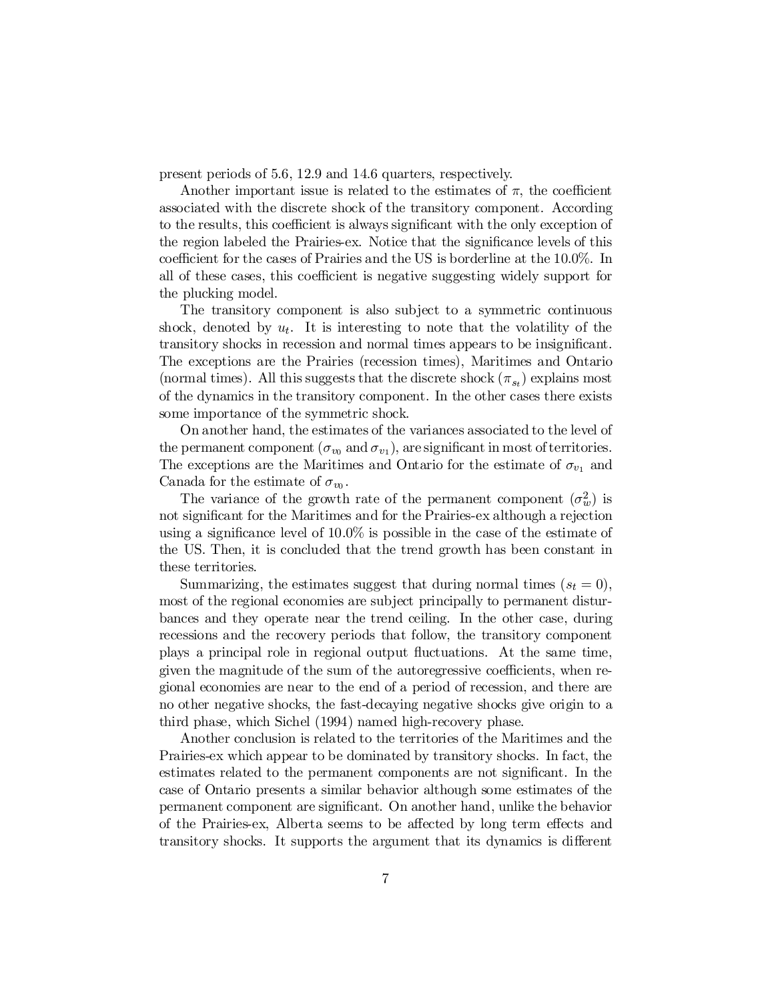present periods of 5.6, 12.9 and 14.6 quarters, respectively.

Another important issue is related to the estimates of  $\pi$ , the coefficient associated with the discrete shock of the transitory component. According to the results, this coefficient is always significant with the only exception of the region labeled the Prairies-ex. Notice that the significance levels of this coefficient for the cases of Prairies and the US is borderline at the 10.0%. In all of these cases, this coefficient is negative suggesting widely support for the plucking model.

The transitory component is also subject to a symmetric continuous shock, denoted by  $u_t$ . It is interesting to note that the volatility of the transitory shocks in recession and normal times appears to be insignificant. The exceptions are the Prairies (recession times), Maritimes and Ontario (normal times). All this suggests that the discrete shock  $(\pi_{s_t})$  explains most of the dynamics in the transitory component. In the other cases there exists some importance of the symmetric shock.

On another hand, the estimates of the variances associated to the level of the permanent component  $(\sigma_{v_0}$  and  $\sigma_{v_1})$ , are significant in most of territories. The exceptions are the Maritimes and Ontario for the estimate of  $\sigma_{v_1}$  and Canada for the estimate of  $\sigma_{v_0}$ .

The variance of the growth rate of the permanent component  $(\sigma_w^2)$  is not significant for the Maritimes and for the Prairies-ex although a rejection using a significance level of  $10.0\%$  is possible in the case of the estimate of the US. Then, it is concluded that the trend growth has been constant in these territories.

Summarizing, the estimates suggest that during normal times  $(s_t = 0)$ , most of the regional economies are subject principally to permanent disturbances and they operate near the trend ceiling. In the other case, during recessions and the recovery periods that follow, the transitory component plays a principal role in regional output ‡uctuations. At the same time, given the magnitude of the sum of the autoregressive coefficients, when regional economies are near to the end of a period of recession, and there are no other negative shocks, the fast-decaying negative shocks give origin to a third phase, which Sichel (1994) named high-recovery phase.

Another conclusion is related to the territories of the Maritimes and the Prairies-ex which appear to be dominated by transitory shocks. In fact, the estimates related to the permanent components are not significant. In the case of Ontario presents a similar behavior although some estimates of the permanent component are significant. On another hand, unlike the behavior of the Prairies-ex, Alberta seems to be affected by long term effects and transitory shocks. It supports the argument that its dynamics is different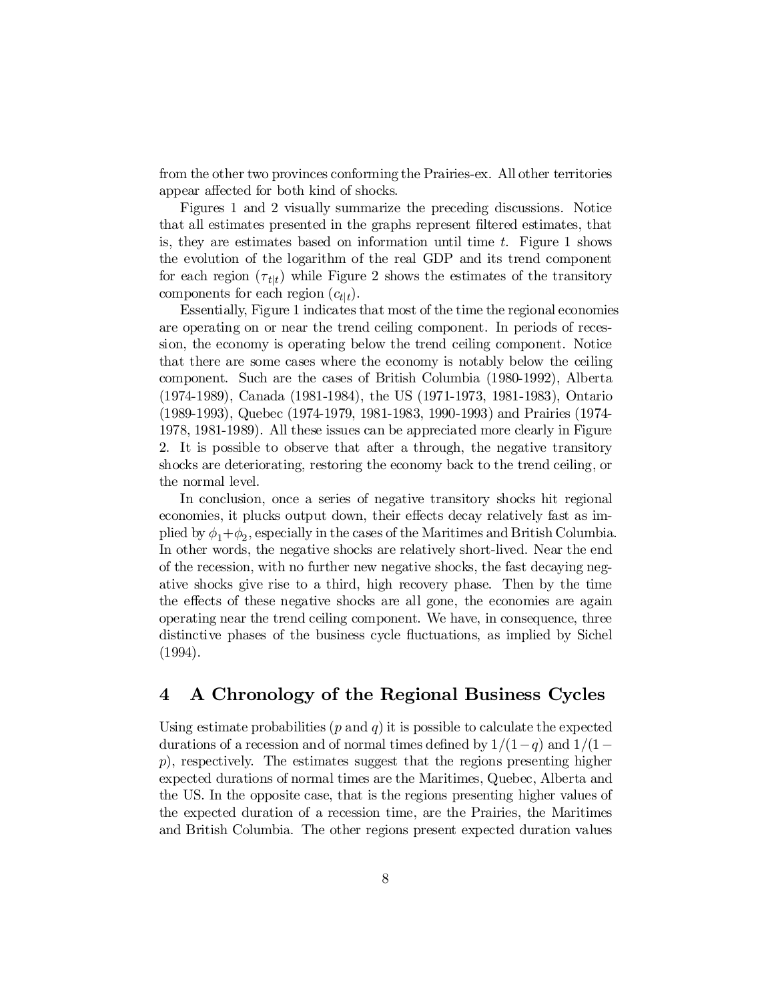from the other two provinces conforming the Prairies-ex. All other territories appear affected for both kind of shocks.

Figures 1 and 2 visually summarize the preceding discussions. Notice that all estimates presented in the graphs represent filtered estimates, that is, they are estimates based on information until time t. Figure 1 shows the evolution of the logarithm of the real GDP and its trend component for each region  $(\tau_{t|t})$  while Figure 2 shows the estimates of the transitory components for each region  $(c_{t|t})$ .

Essentially, Figure 1 indicates that most of the time the regional economies are operating on or near the trend ceiling component. In periods of recession, the economy is operating below the trend ceiling component. Notice that there are some cases where the economy is notably below the ceiling component. Such are the cases of British Columbia (1980-1992), Alberta (1974-1989), Canada (1981-1984), the US (1971-1973, 1981-1983), Ontario (1989-1993), Quebec (1974-1979, 1981-1983, 1990-1993) and Prairies (1974- 1978, 1981-1989). All these issues can be appreciated more clearly in Figure 2. It is possible to observe that after a through, the negative transitory shocks are deteriorating, restoring the economy back to the trend ceiling, or the normal level.

In conclusion, once a series of negative transitory shocks hit regional economies, it plucks output down, their effects decay relatively fast as implied by  $\phi_1 + \phi_2$ , especially in the cases of the Maritimes and British Columbia. In other words, the negative shocks are relatively short-lived. Near the end of the recession, with no further new negative shocks, the fast decaying negative shocks give rise to a third, high recovery phase. Then by the time the effects of these negative shocks are all gone, the economies are again operating near the trend ceiling component. We have, in consequence, three distinctive phases of the business cycle ‡uctuations, as implied by Sichel (1994).

## 4 A Chronology of the Regional Business Cycles

Using estimate probabilities  $(p \text{ and } q)$  it is possible to calculate the expected durations of a recession and of normal times defined by  $1/(1-q)$  and  $1/(1-q)$ p), respectively. The estimates suggest that the regions presenting higher expected durations of normal times are the Maritimes, Quebec, Alberta and the US. In the opposite case, that is the regions presenting higher values of the expected duration of a recession time, are the Prairies, the Maritimes and British Columbia. The other regions present expected duration values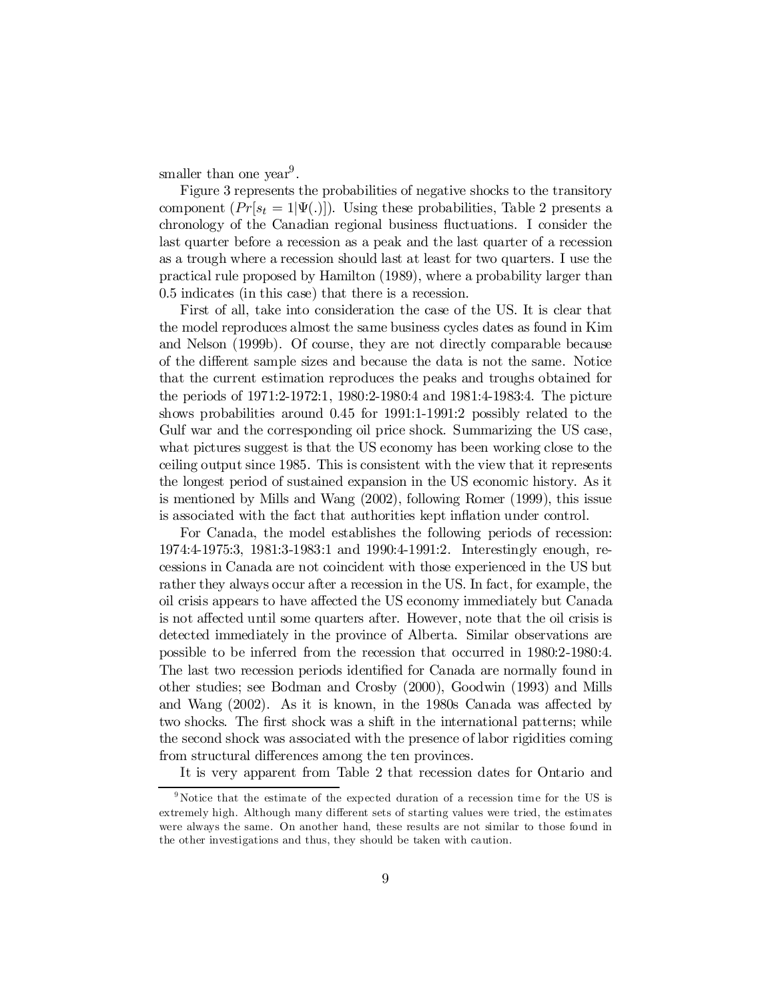smaller than one year<sup>9</sup>.

Figure 3 represents the probabilities of negative shocks to the transitory component  $(Pr[s_t = 1|\Psi(.)])$ . Using these probabilities, Table 2 presents a chronology of the Canadian regional business fluctuations. I consider the last quarter before a recession as a peak and the last quarter of a recession as a trough where a recession should last at least for two quarters. I use the practical rule proposed by Hamilton (1989), where a probability larger than 0.5 indicates (in this case) that there is a recession.

First of all, take into consideration the case of the US. It is clear that the model reproduces almost the same business cycles dates as found in Kim and Nelson (1999b). Of course, they are not directly comparable because of the different sample sizes and because the data is not the same. Notice that the current estimation reproduces the peaks and troughs obtained for the periods of 1971:2-1972:1, 1980:2-1980:4 and 1981:4-1983:4. The picture shows probabilities around 0.45 for 1991:1-1991:2 possibly related to the Gulf war and the corresponding oil price shock. Summarizing the US case, what pictures suggest is that the US economy has been working close to the ceiling output since 1985. This is consistent with the view that it represents the longest period of sustained expansion in the US economic history. As it is mentioned by Mills and Wang (2002), following Romer (1999), this issue is associated with the fact that authorities kept in‡ation under control.

For Canada, the model establishes the following periods of recession: 1974:4-1975:3, 1981:3-1983:1 and 1990:4-1991:2. Interestingly enough, recessions in Canada are not coincident with those experienced in the US but rather they always occur after a recession in the US. In fact, for example, the oil crisis appears to have affected the US economy immediately but Canada is not affected until some quarters after. However, note that the oil crisis is detected immediately in the province of Alberta. Similar observations are possible to be inferred from the recession that occurred in 1980:2-1980:4. The last two recession periods identified for Canada are normally found in other studies; see Bodman and Crosby (2000), Goodwin (1993) and Mills and Wang  $(2002)$ . As it is known, in the 1980s Canada was affected by two shocks. The first shock was a shift in the international patterns; while the second shock was associated with the presence of labor rigidities coming from structural differences among the ten provinces.

It is very apparent from Table 2 that recession dates for Ontario and

<sup>&</sup>lt;sup>9</sup> Notice that the estimate of the expected duration of a recession time for the US is extremely high. Although many different sets of starting values were tried, the estimates were always the same. On another hand, these results are not similar to those found in the other investigations and thus, they should be taken with caution.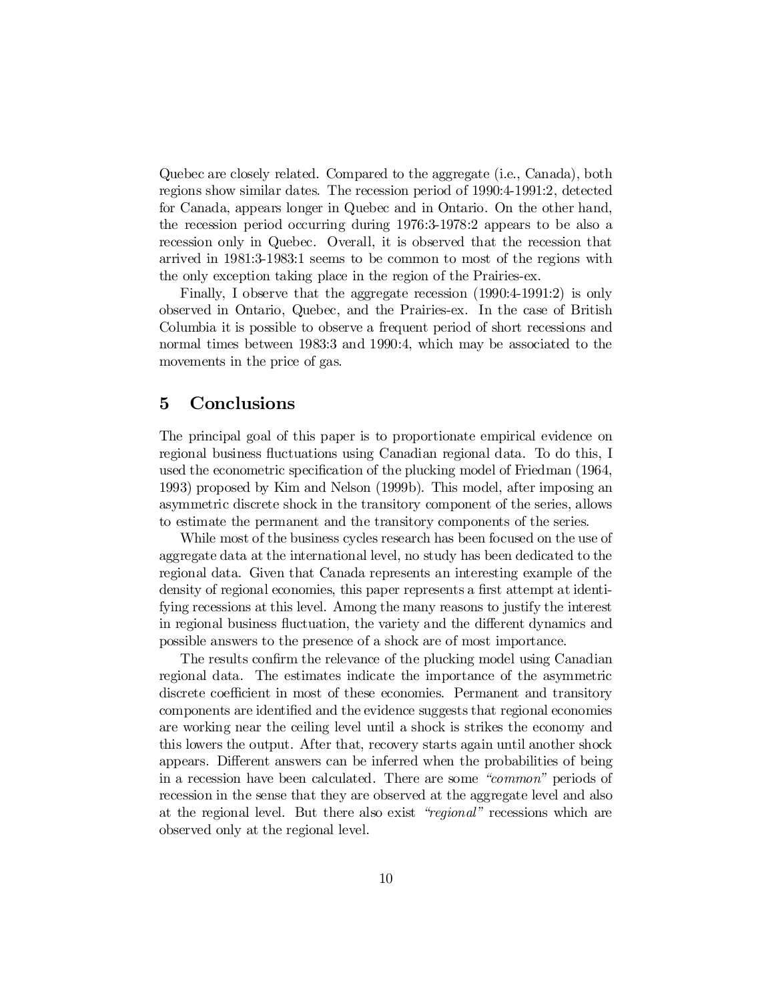Quebec are closely related. Compared to the aggregate (i.e., Canada), both regions show similar dates. The recession period of 1990:4-1991:2, detected for Canada, appears longer in Quebec and in Ontario. On the other hand, the recession period occurring during 1976:3-1978:2 appears to be also a recession only in Quebec. Overall, it is observed that the recession that arrived in 1981:3-1983:1 seems to be common to most of the regions with the only exception taking place in the region of the Prairies-ex.

Finally, I observe that the aggregate recession (1990:4-1991:2) is only observed in Ontario, Quebec, and the Prairies-ex. In the case of British Columbia it is possible to observe a frequent period of short recessions and normal times between 1983:3 and 1990:4, which may be associated to the movements in the price of gas.

#### 5 Conclusions

The principal goal of this paper is to proportionate empirical evidence on regional business fluctuations using Canadian regional data. To do this, I used the econometric specification of the plucking model of Friedman (1964, 1993) proposed by Kim and Nelson (1999b). This model, after imposing an asymmetric discrete shock in the transitory component of the series, allows to estimate the permanent and the transitory components of the series.

While most of the business cycles research has been focused on the use of aggregate data at the international level, no study has been dedicated to the regional data. Given that Canada represents an interesting example of the density of regional economies, this paper represents a first attempt at identifying recessions at this level. Among the many reasons to justify the interest in regional business fluctuation, the variety and the different dynamics and possible answers to the presence of a shock are of most importance.

The results confirm the relevance of the plucking model using Canadian regional data. The estimates indicate the importance of the asymmetric discrete coefficient in most of these economies. Permanent and transitory components are identified and the evidence suggests that regional economies are working near the ceiling level until a shock is strikes the economy and this lowers the output. After that, recovery starts again until another shock appears. Different answers can be inferred when the probabilities of being in a recession have been calculated. There are some "common" periods of recession in the sense that they are observed at the aggregate level and also at the regional level. But there also exist "regional" recessions which are observed only at the regional level.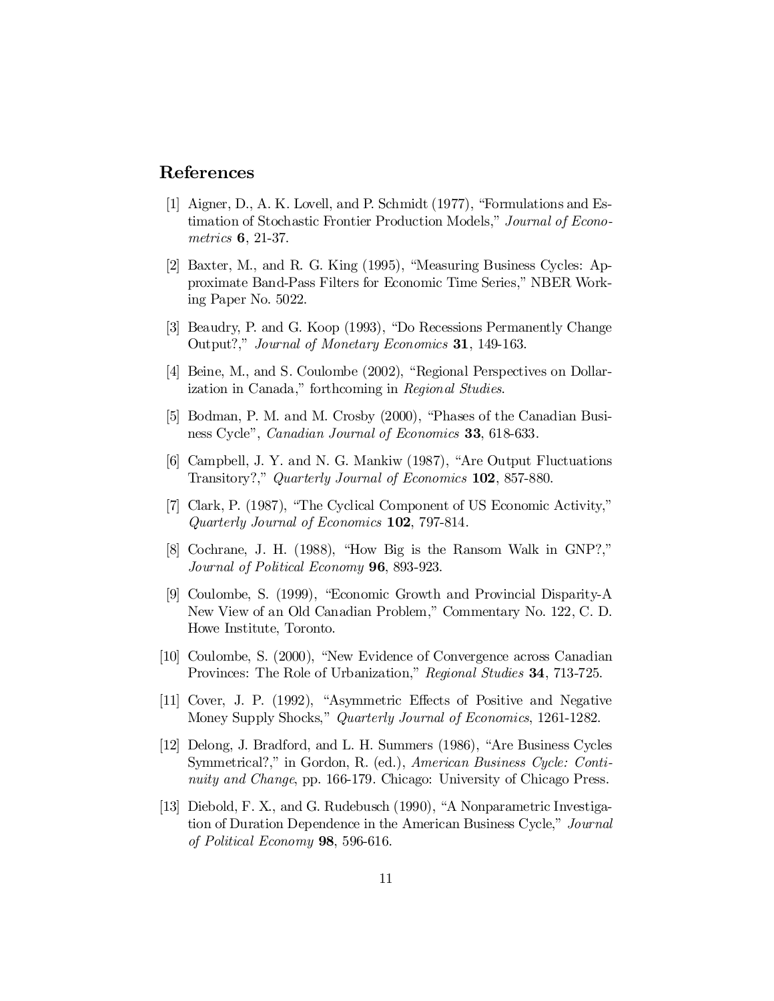# References

- [1] Aigner, D., A. K. Lovell, and P. Schmidt (1977), "Formulations and Estimation of Stochastic Frontier Production Models," Journal of Econometrics 6, 21-37.
- [2] Baxter, M., and R. G. King (1995), "Measuring Business Cycles: Approximate Band-Pass Filters for Economic Time Series," NBER Working Paper No. 5022.
- [3] Beaudry, P. and G. Koop (1993), "Do Recessions Permanently Change Output?," Journal of Monetary Economics 31, 149-163.
- [4] Beine, M., and S. Coulombe (2002), "Regional Perspectives on Dollarization in Canada," forthcoming in Regional Studies.
- [5] Bodman, P. M. and M. Crosby (2000), "Phases of the Canadian Business Cycle", *Canadian Journal of Economics* **33**, 618-633.
- [6] Campbell, J. Y. and N. G. Mankiw (1987), "Are Output Fluctuations Transitory?," Quarterly Journal of Economics 102, 857-880.
- [7] Clark, P. (1987), "The Cyclical Component of US Economic Activity," Quarterly Journal of Economics 102, 797-814.
- [8] Cochrane, J. H. (1988), "How Big is the Ransom Walk in GNP?," Journal of Political Economy 96, 893-923.
- [9] Coulombe, S. (1999), "Economic Growth and Provincial Disparity-A New View of an Old Canadian Problem," Commentary No. 122, C. D. Howe Institute, Toronto.
- [10] Coulombe, S. (2000), "New Evidence of Convergence across Canadian Provinces: The Role of Urbanization," Regional Studies 34, 713-725.
- [11] Cover, J. P. (1992), "Asymmetric Effects of Positive and Negative Money Supply Shocks," Quarterly Journal of Economics, 1261-1282.
- [12] Delong, J. Bradford, and L. H. Summers (1986), "Are Business Cycles Symmetrical?," in Gordon, R. (ed.), American Business Cycle: Continuity and Change, pp. 166-179. Chicago: University of Chicago Press.
- [13] Diebold, F. X., and G. Rudebusch (1990), "A Nonparametric Investigation of Duration Dependence in the American Business Cycle," Journal of Political Economy 98, 596-616.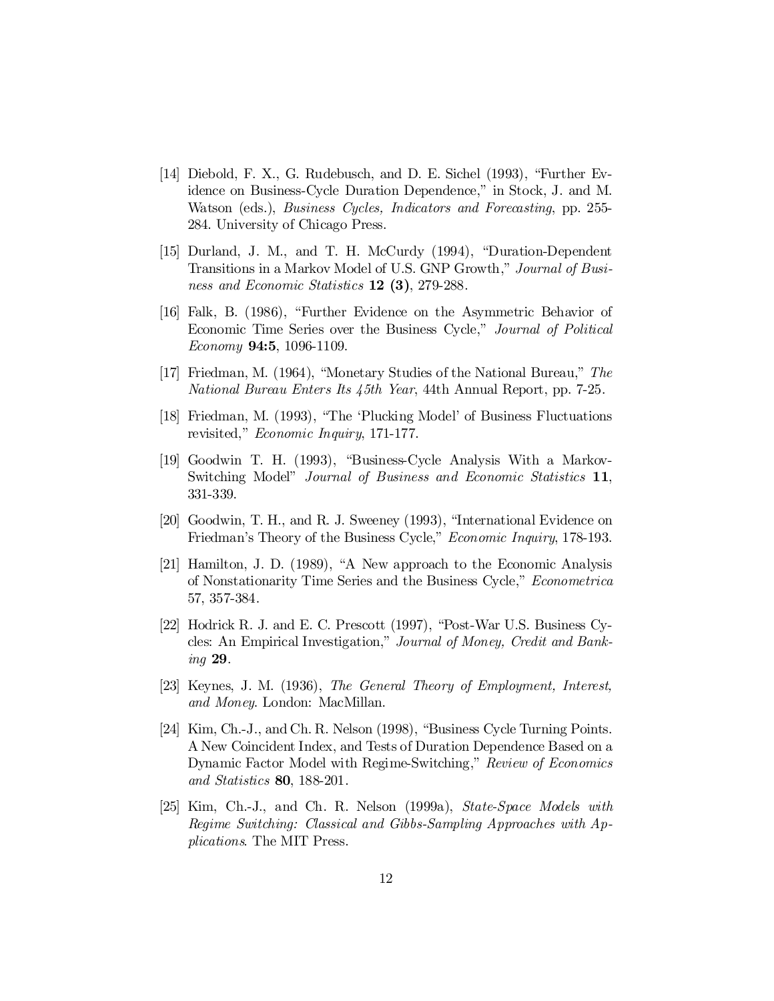- [14] Diebold, F. X., G. Rudebusch, and D. E. Sichel (1993), "Further Evidence on Business-Cycle Duration Dependence," in Stock, J. and M. Watson (eds.), Business Cycles, Indicators and Forecasting, pp. 255- 284. University of Chicago Press.
- [15] Durland, J. M., and T. H. McCurdy (1994), "Duration-Dependent Transitions in a Markov Model of U.S. GNP Growth," Journal of Business and Economic Statistics 12 (3), 279-288.
- [16] Falk, B. (1986), "Further Evidence on the Asymmetric Behavior of Economic Time Series over the Business Cycle," Journal of Political Economy 94:5, 1096-1109.
- [17] Friedman, M. (1964), "Monetary Studies of the National Bureau," The National Bureau Enters Its 45th Year, 44th Annual Report, pp. 7-25.
- [18] Friedman, M. (1993), "The 'Plucking Model' of Business Fluctuations revisited," Economic Inquiry, 171-177.
- [19] Goodwin T. H. (1993), "Business-Cycle Analysis With a Markov-Switching Model" Journal of Business and Economic Statistics 11, 331-339.
- [20] Goodwin, T. H., and R. J. Sweeney (1993), "International Evidence on Friedman's Theory of the Business Cycle," Economic Inquiry, 178-193.
- [21] Hamilton, J. D. (1989), "A New approach to the Economic Analysis of Nonstationarity Time Series and the Business Cycle," Econometrica 57, 357-384.
- [22] Hodrick R. J. and E. C. Prescott (1997), "Post-War U.S. Business Cycles: An Empirical Investigation," Journal of Money, Credit and Banking 29.
- [23] Keynes, J. M. (1936), The General Theory of Employment, Interest, and Money. London: MacMillan.
- [24] Kim, Ch.-J., and Ch. R. Nelson (1998), "Business Cycle Turning Points. A New Coincident Index, and Tests of Duration Dependence Based on a Dynamic Factor Model with Regime-Switching," Review of Economics and Statistics 80, 188-201.
- [25] Kim, Ch.-J., and Ch. R. Nelson (1999a), State-Space Models with Regime Switching: Classical and Gibbs-Sampling Approaches with Applications. The MIT Press.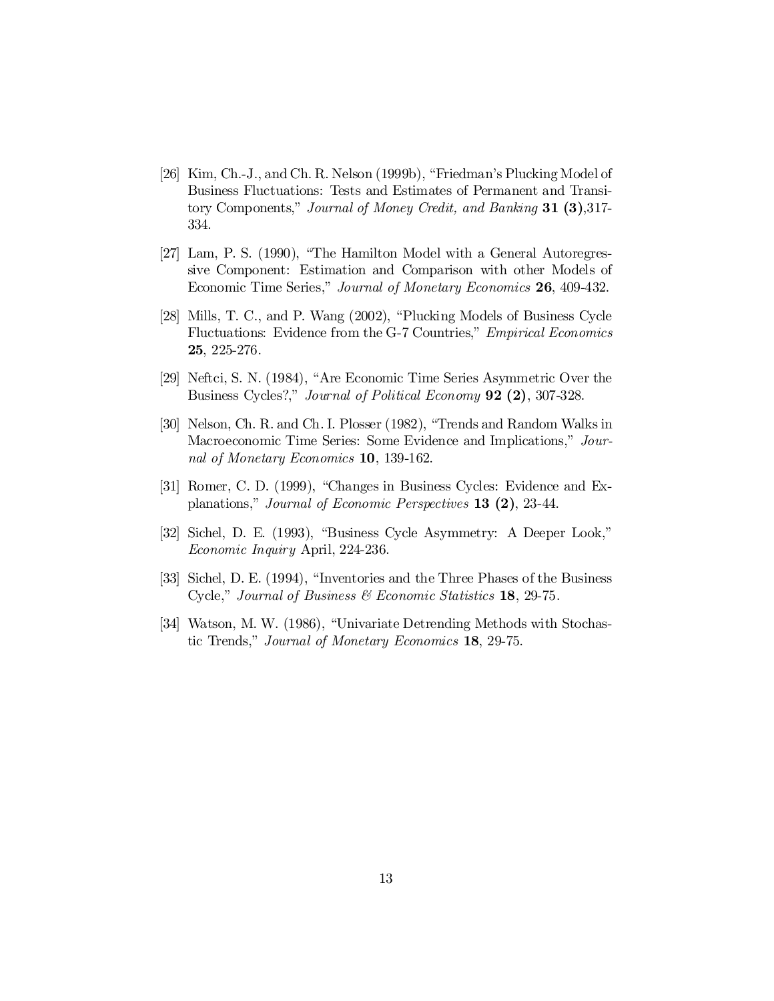- [26] Kim, Ch.-J., and Ch. R. Nelson (1999b), "Friedman's Plucking Model of Business Fluctuations: Tests and Estimates of Permanent and Transitory Components," Journal of Money Credit, and Banking 31 (3),317-334.
- [27] Lam, P. S. (1990), "The Hamilton Model with a General Autoregressive Component: Estimation and Comparison with other Models of Economic Time Series," Journal of Monetary Economics 26, 409-432.
- [28] Mills, T. C., and P. Wang (2002), "Plucking Models of Business Cycle Fluctuations: Evidence from the G-7 Countries," Empirical Economics 25, 225-276.
- [29] Neftci, S. N. (1984), "Are Economic Time Series Asymmetric Over the Business Cycles?," Journal of Political Economy 92 (2), 307-328.
- [30] Nelson, Ch. R. and Ch. I. Plosser (1982), "Trends and Random Walks in Macroeconomic Time Series: Some Evidence and Implications," Journal of Monetary Economics 10, 139-162.
- [31] Romer, C. D. (1999), "Changes in Business Cycles: Evidence and Explanations," Journal of Economic Perspectives 13 (2), 23-44.
- [32] Sichel, D. E. (1993), "Business Cycle Asymmetry: A Deeper Look," Economic Inquiry April, 224-236.
- [33] Sichel, D. E. (1994), "Inventories and the Three Phases of the Business Cycle," Journal of Business & Economic Statistics 18, 29-75.
- [34] Watson, M. W. (1986), "Univariate Detrending Methods with Stochastic Trends," Journal of Monetary Economics 18, 29-75.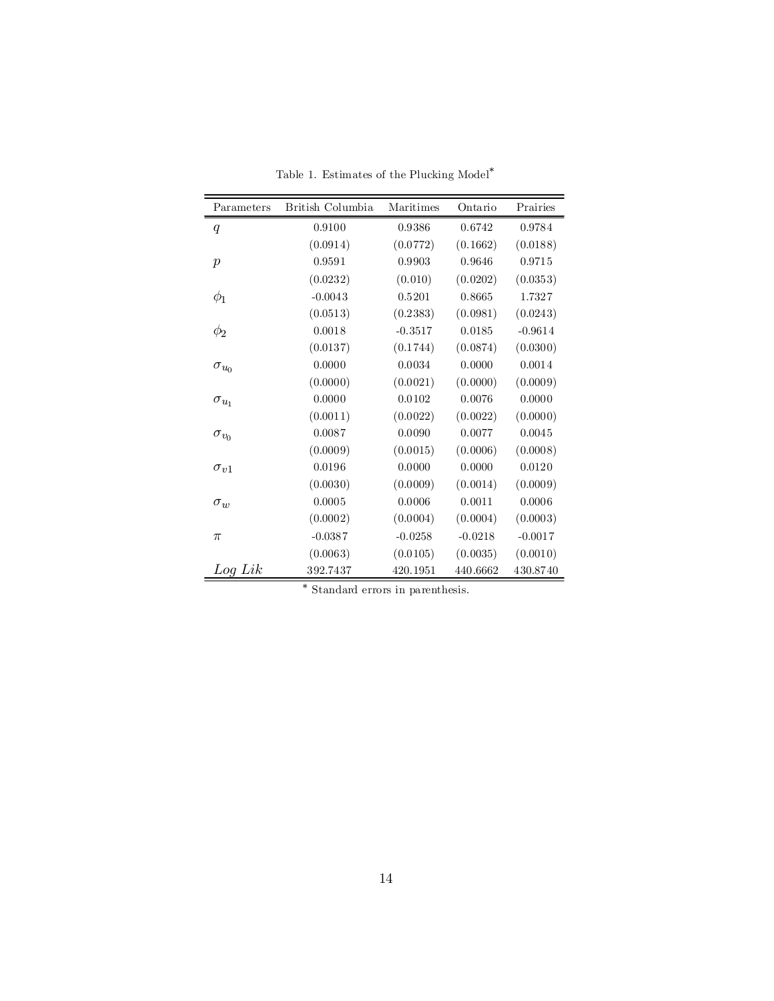| Parameters       | British Columbia | Maritimes | Ontario   | Prairies  |
|------------------|------------------|-----------|-----------|-----------|
| q                | 0.9100           | 0.9386    | 0.6742    | 0.9784    |
|                  | (0.0914)         | (0.0772)  | (0.1662)  | (0.0188)  |
| $\boldsymbol{p}$ | 0.9591           | 0.9903    | 0.9646    | 0.9715    |
|                  | (0.0232)         | (0.010)   | (0.0202)  | (0.0353)  |
| $\phi_1$         | $-0.0043$        | 0.5201    | 0.8665    | 1.7327    |
|                  | (0.0513)         | (0.2383)  | (0.0981)  | (0.0243)  |
| $\phi_2$         | 0.0018           | $-0.3517$ | 0.0185    | $-0.9614$ |
|                  | (0.0137)         | (0.1744)  | (0.0874)  | (0.0300)  |
| $\sigma_{u_0}$   | 0.0000           | 0.0034    | 0.0000    | 0.0014    |
|                  | (0.0000)         | (0.0021)  | (0.0000)  | (0.0009)  |
| $\sigma_{u_1}$   | 0.0000           | 0.0102    | 0.0076    | 0.0000    |
|                  | (0.0011)         | (0.0022)  | (0.0022)  | (0.0000)  |
| $\sigma_{v_0}$   | 0.0087           | 0.0090    | 0.0077    | 0.0045    |
|                  | (0.0009)         | (0.0015)  | (0.0006)  | (0.0008)  |
| $\sigma_{v1}$    | 0.0196           | 0.0000    | 0.0000    | 0.0120    |
|                  | (0.0030)         | (0.0009)  | (0.0014)  | (0.0009)  |
| $\sigma_w$       | 0.0005           | 0.0006    | 0.0011    | 0.0006    |
|                  | (0.0002)         | (0.0004)  | (0.0004)  | (0.0003)  |
| $\pi$            | $-0.0387$        | $-0.0258$ | $-0.0218$ | $-0.0017$ |
|                  | (0.0063)         | (0.0105)  | (0.0035)  | (0.0010)  |
| Log Lik          | 392.7437         | 420.1951  | 440.6662  | 430.8740  |

Table 1. Estimates of the Plucking Model<sup>\*</sup>

¤ Standard errors in parenthesis.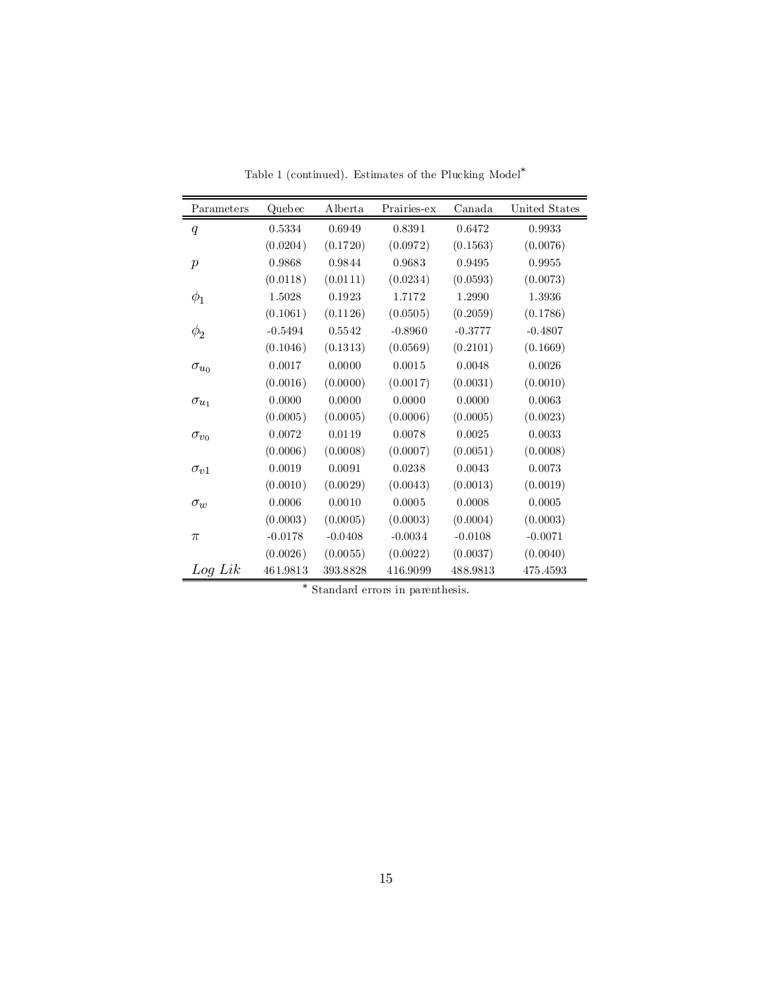| Parameters       | Quebec    | Alberta   | Prairies-ex | Canada    | United States |
|------------------|-----------|-----------|-------------|-----------|---------------|
| $\boldsymbol{q}$ | 0.5334    | 0.6949    | 0.8391      | 0.6472    | 0.9933        |
|                  | (0.0204)  | (0.1720)  | (0.0972)    | (0.1563)  | (0.0076)      |
| $\boldsymbol{p}$ | 0.9868    | 0.9844    | 0.9683      | 0.9495    | 0.9955        |
|                  | (0.0118)  | (0.0111)  | (0.0234)    | (0.0593)  | (0.0073)      |
| $\phi_1$         | 1.5028    | 0.1923    | 1.7172      | 1.2990    | 1.3936        |
|                  | (0.1061)  | (0.1126)  | (0.0505)    | (0.2059)  | (0.1786)      |
| $\phi_2$         | $-0.5494$ | 0.5542    | $-0.8960$   | $-0.3777$ | $-0.4807$     |
|                  | (0.1046)  | (0.1313)  | (0.0569)    | (0.2101)  | (0.1669)      |
| $\sigma_{u_0}$   | 0.0017    | 0.0000    | 0.0015      | 0.0048    | 0.0026        |
|                  | (0.0016)  | (0.0000)  | (0.0017)    | (0.0031)  | (0.0010)      |
| $\sigma_{u_1}$   | 0.0000    | 0.0000    | 0.0000      | 0.0000    | 0.0063        |
|                  | (0.0005)  | (0.0005)  | (0.0006)    | (0.0005)  | (0.0023)      |
| $\sigma_{v_0}$   | 0.0072    | 0.0119    | 0.0078      | 0.0025    | 0.0033        |
|                  | (0.0006)  | (0.0008)  | (0.0007)    | (0.0051)  | (0.0008)      |
| $\sigma_{\nu}$ 1 | 0.0019    | 0.0091    | 0.0238      | 0.0043    | 0.0073        |
|                  | (0.0010)  | (0.0029)  | (0.0043)    | (0.0013)  | (0.0019)      |
| $\sigma_{w}$     | 0.0006    | 0.0010    | 0.0005      | 0.0008    | 0.0005        |
|                  | (0.0003)  | (0.0005)  | (0.0003)    | (0.0004)  | (0.0003)      |
| $\pi$            | $-0.0178$ | $-0.0408$ | $-0.0034$   | $-0.0108$ | $-0.0071$     |
|                  | (0.0026)  | (0.0055)  | (0.0022)    | (0.0037)  | (0.0040)      |
| $Log\, Lik$      | 461.9813  | 393.8828  | 416.9099    | 488.9813  | 475.4593      |

Table 1 (continued). Estimates of the Plucking Model<sup>\*</sup>

¤ Standard errors in parenthesis.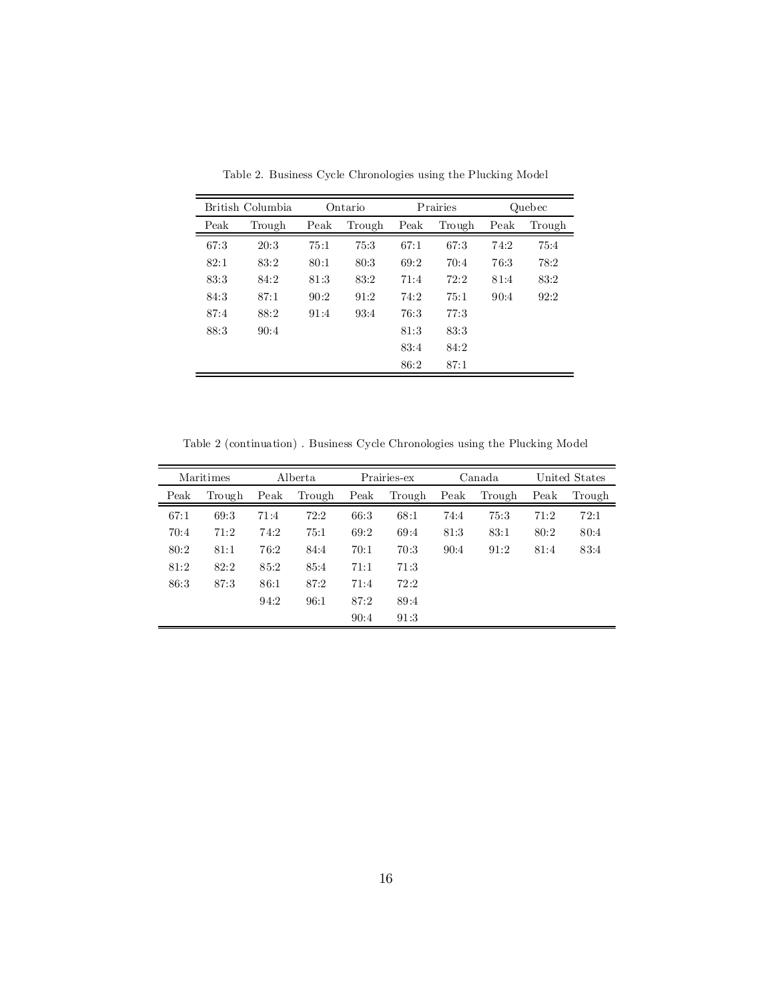| British Columbia |        | Ontario |        | Prairies |        | Quebec |        |
|------------------|--------|---------|--------|----------|--------|--------|--------|
| Peak             | Trough | Peak    | Trough | Peak     | Trough | Peak   | Trough |
| 67:3             | 20:3   | 75:1    | 75:3   | 67:1     | 67:3   | 74:2   | 75:4   |
| 82:1             | 83.2   | 80:1    | 80:3   | 69:2     | 70:4   | 76:3   | 78:2   |
| 83:3             | 84:2   | 81:3    | 83:2   | 71:4     | 72:2   | 81:4   | 83:2   |
| 84:3             | 87:1   | 90:2    | 91:2   | 74:2     | 75:1   | 90:4   | 92:2   |
| 87:4             | 88:2   | 91:4    | 93.4   | 76:3     | 77:3   |        |        |
| 88:3             | 90:4   |         |        | 81:3     | 83.3   |        |        |
|                  |        |         |        | 83:4     | 84:2   |        |        |
|                  |        |         |        | 86:2     | 87:1   |        |        |

Table 2. Business Cycle Chronologies using the Plucking Model

Table 2 (continuation) . Business Cycle Chronologies using the Plucking Model

| Maritimes |        | Alberta |        | Prairies-ex |        | Canada |        | United States |        |
|-----------|--------|---------|--------|-------------|--------|--------|--------|---------------|--------|
| Peak      | Trough | Peak    | Trough | Peak        | Trough | Peak   | Trough | Peak          | Trough |
| 67:1      | 69:3   | 71:4    | 72:2   | 66:3        | 68:1   | 74:4   | 75:3   | 71:2          | 72:1   |
| 70:4      | 71:2   | 74:2    | 75:1   | 69:2        | 69:4   | 81:3   | 83.1   | 80:2          | 80:4   |
| 80:2      | 81:1   | 76:2    | 84:4   | 70:1        | 70:3   | 90:4   | 91:2   | 81:4          | 83.4   |
| 81:2      | 82:2   | 85:2    | 85:4   | 71:1        | 71:3   |        |        |               |        |
| 86:3      | 87:3   | 86:1    | 87:2   | 71:4        | 72:2   |        |        |               |        |
|           |        | 94:2    | 96:1   | 87:2        | 89:4   |        |        |               |        |
|           |        |         |        | 90:4        | 91:3   |        |        |               |        |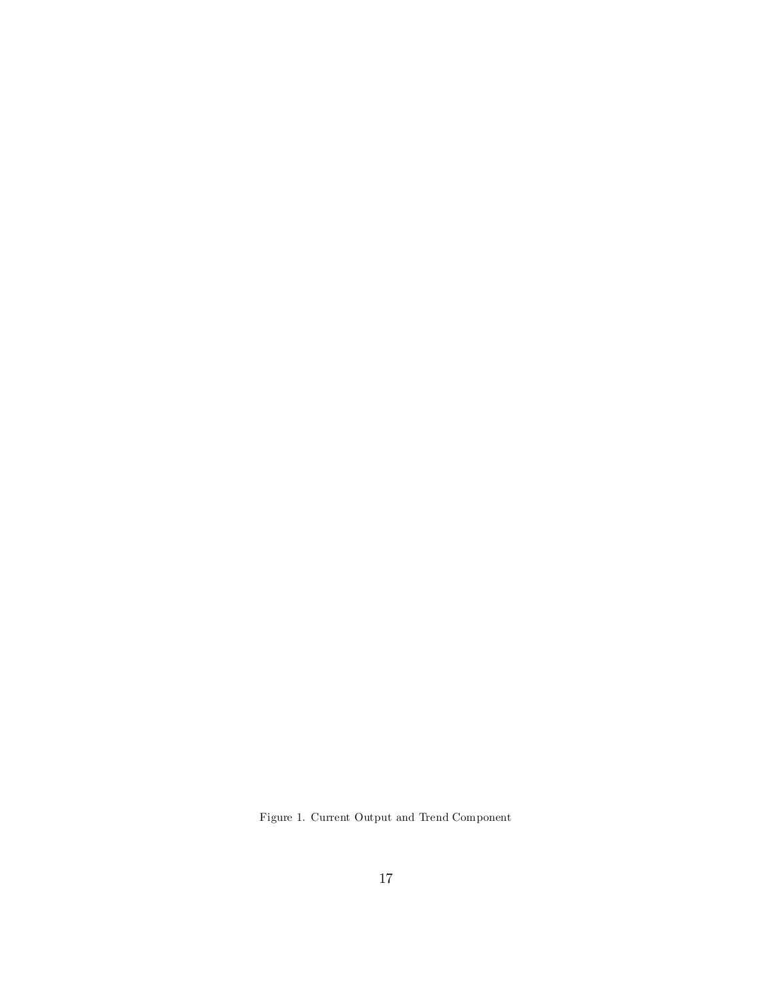Figure 1. Current Output and Trend Component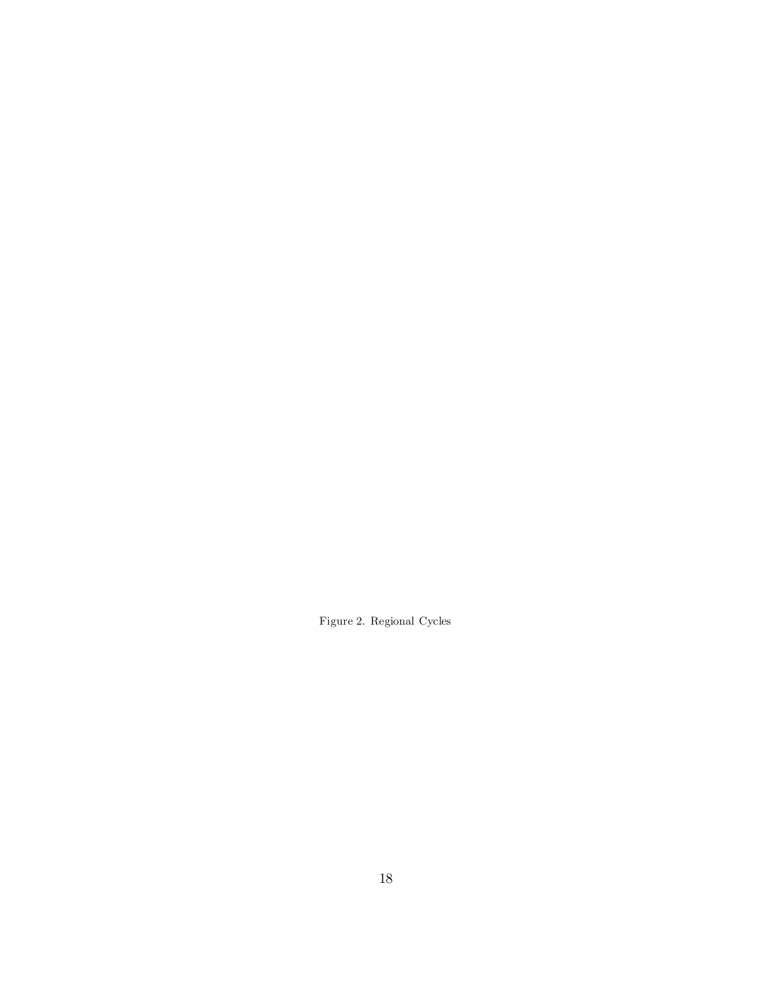Figure 2. Regional Cycles